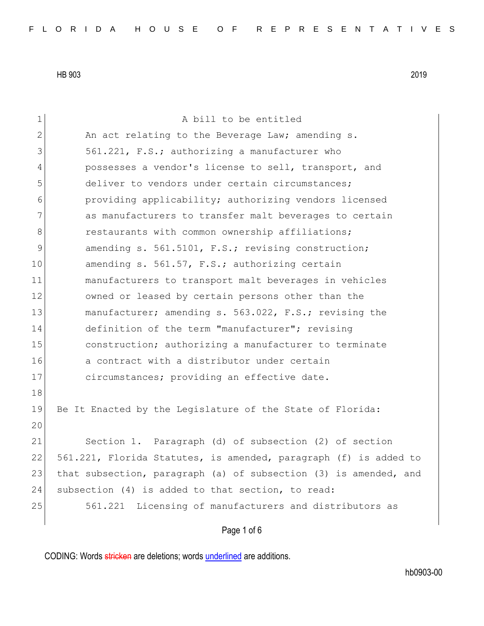| 1              | A bill to be entitled                                            |
|----------------|------------------------------------------------------------------|
| $\overline{2}$ | An act relating to the Beverage Law; amending s.                 |
| 3              | 561.221, F.S.; authorizing a manufacturer who                    |
| $\overline{4}$ | possesses a vendor's license to sell, transport, and             |
| 5              | deliver to vendors under certain circumstances;                  |
| 6              | providing applicability; authorizing vendors licensed            |
| 7              | as manufacturers to transfer malt beverages to certain           |
| 8              | restaurants with common ownership affiliations;                  |
| $\mathsf 9$    | amending s. 561.5101, F.S.; revising construction;               |
| 10             | amending s. 561.57, F.S.; authorizing certain                    |
| 11             | manufacturers to transport malt beverages in vehicles            |
| 12             | owned or leased by certain persons other than the                |
| 13             | manufacturer; amending s. 563.022, F.S.; revising the            |
| 14             | definition of the term "manufacturer"; revising                  |
| 15             | construction; authorizing a manufacturer to terminate            |
| 16             | a contract with a distributor under certain                      |
| 17             | circumstances; providing an effective date.                      |
| 18             |                                                                  |
| 19             | Be It Enacted by the Legislature of the State of Florida:        |
| 20             |                                                                  |
| 21             | Section 1. Paragraph (d) of subsection (2) of section            |
| 22             | 561.221, Florida Statutes, is amended, paragraph (f) is added to |
| 23             | that subsection, paragraph (a) of subsection (3) is amended, and |
| 24             | subsection (4) is added to that section, to read:                |
| 25             | Licensing of manufacturers and distributors as<br>561.221        |
|                | Page 1 of 6                                                      |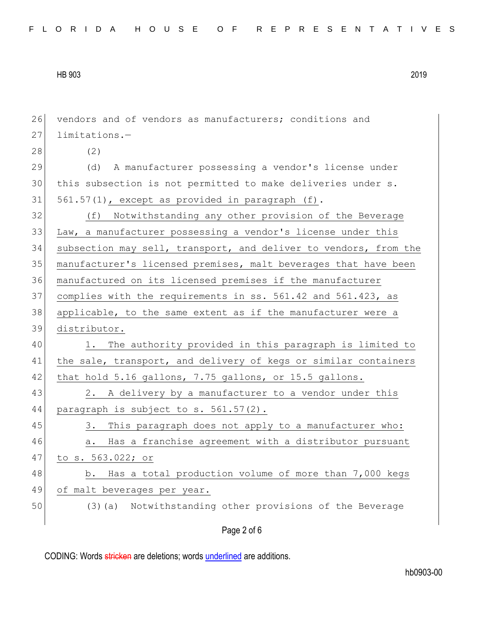Page 2 of 6 26 vendors and of vendors as manufacturers; conditions and 27 limitations.-28 (2) 29 (d) A manufacturer possessing a vendor's license under 30 this subsection is not permitted to make deliveries under s.  $31$   $561.57(1)$ , except as provided in paragraph (f). 32 (f) Notwithstanding any other provision of the Beverage 33 Law, a manufacturer possessing a vendor's license under this 34 subsection may sell, transport, and deliver to vendors, from the 35 manufacturer's licensed premises, malt beverages that have been 36 | manufactured on its licensed premises if the manufacturer 37 complies with the requirements in ss. 561.42 and 561.423, as 38 applicable, to the same extent as if the manufacturer were a 39 distributor. 40 1. The authority provided in this paragraph is limited to 41 the sale, transport, and delivery of kegs or similar containers  $42$  that hold 5.16 gallons, 7.75 gallons, or 15.5 gallons. 43 2. A delivery by a manufacturer to a vendor under this 44 paragraph is subject to s. 561.57(2). 45 3. This paragraph does not apply to a manufacturer who: 46 a. Has a franchise agreement with a distributor pursuant 47 to s. 563.022; or 48 b. Has a total production volume of more than 7,000 kegs 49 of malt beverages per year. 50 (3)(a) Notwithstanding other provisions of the Beverage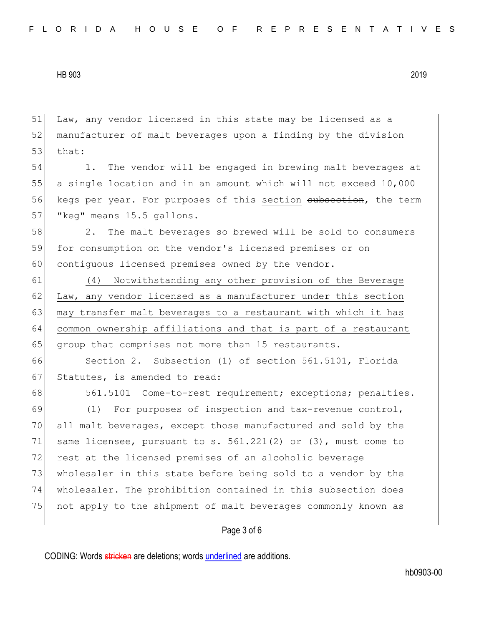51 Law, any vendor licensed in this state may be licensed as a 52 manufacturer of malt beverages upon a finding by the division 53 that: 54 1. The vendor will be engaged in brewing malt beverages at 55 a single location and in an amount which will not exceed 10,000 56 kegs per year. For purposes of this section subsection, the term 57 | "keg" means 15.5 gallons. 58 2. The malt beverages so brewed will be sold to consumers 59 for consumption on the vendor's licensed premises or on 60 contiguous licensed premises owned by the vendor. 61 (4) Notwithstanding any other provision of the Beverage  $62$  Law, any vendor licensed as a manufacturer under this section 63 may transfer malt beverages to a restaurant with which it has 64 common ownership affiliations and that is part of a restaurant 65 group that comprises not more than 15 restaurants. 66 Section 2. Subsection (1) of section 561.5101, Florida 67 Statutes, is amended to read: 68 561.5101 Come-to-rest requirement; exceptions; penalties.-69 (1) For purposes of inspection and tax-revenue control, 70 all malt beverages, except those manufactured and sold by the 71 same licensee, pursuant to s.  $561.221(2)$  or  $(3)$ , must come to 72 rest at the licensed premises of an alcoholic beverage 73 wholesaler in this state before being sold to a vendor by the 74 wholesaler. The prohibition contained in this subsection does 75 not apply to the shipment of malt beverages commonly known as

Page 3 of 6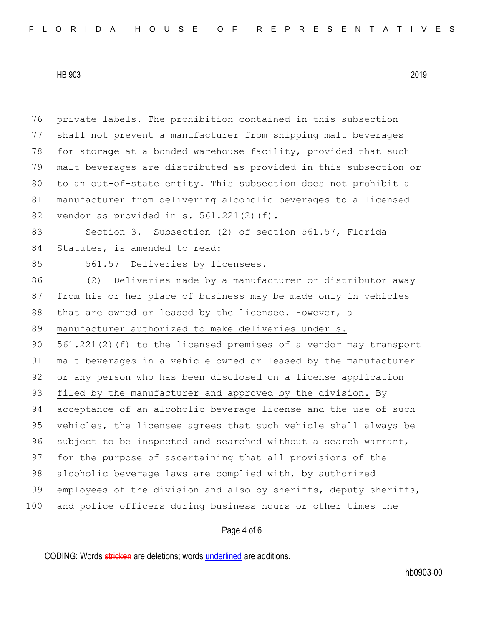76 private labels. The prohibition contained in this subsection 77 shall not prevent a manufacturer from shipping malt beverages 78 for storage at a bonded warehouse facility, provided that such 79 malt beverages are distributed as provided in this subsection or 80 to an out-of-state entity. This subsection does not prohibit a 81 manufacturer from delivering alcoholic beverages to a licensed 82 vendor as provided in s.  $561.221(2)(f)$ . 83 Section 3. Subsection (2) of section 561.57, Florida 84 Statutes, is amended to read: 85 561.57 Deliveries by licensees.-86 (2) Deliveries made by a manufacturer or distributor away 87 from his or her place of business may be made only in vehicles 88 that are owned or leased by the licensee. However, a 89 manufacturer authorized to make deliveries under s. 90  $561.221(2)$  (f) to the licensed premises of a vendor may transport 91 malt beverages in a vehicle owned or leased by the manufacturer 92 or any person who has been disclosed on a license application 93 filed by the manufacturer and approved by the division. By 94 acceptance of an alcoholic beverage license and the use of such 95 vehicles, the licensee agrees that such vehicle shall always be 96 subject to be inspected and searched without a search warrant, 97 for the purpose of ascertaining that all provisions of the 98 alcoholic beverage laws are complied with, by authorized 99 employees of the division and also by sheriffs, deputy sheriffs, 100 and police officers during business hours or other times the

## Page 4 of 6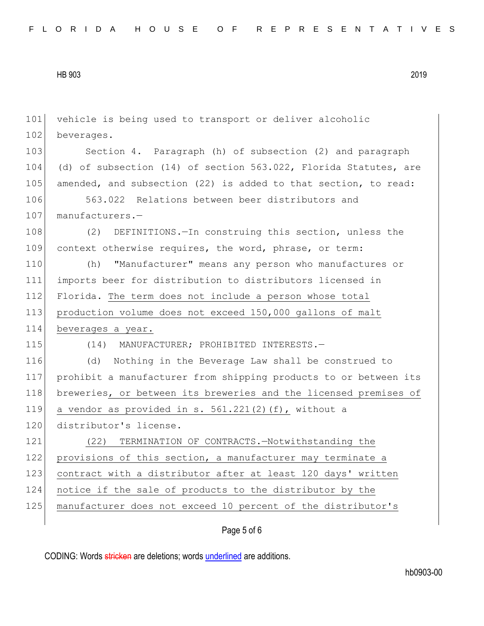| 101 | vehicle is being used to transport or deliver alcoholic          |
|-----|------------------------------------------------------------------|
| 102 | beverages.                                                       |
| 103 | Section 4. Paragraph (h) of subsection (2) and paragraph         |
| 104 | (d) of subsection (14) of section 563.022, Florida Statutes, are |
| 105 | amended, and subsection (22) is added to that section, to read:  |
| 106 | 563.022 Relations between beer distributors and                  |
| 107 | manufacturers.-                                                  |
| 108 | DEFINITIONS. - In construing this section, unless the<br>(2)     |
| 109 | context otherwise requires, the word, phrase, or term:           |
| 110 | "Manufacturer" means any person who manufactures or<br>(h)       |
| 111 | imports beer for distribution to distributors licensed in        |
| 112 | Florida. The term does not include a person whose total          |
| 113 | production volume does not exceed 150,000 gallons of malt        |
|     |                                                                  |
| 114 | beverages a year.                                                |
| 115 | (14) MANUFACTURER; PROHIBITED INTERESTS.-                        |
| 116 | Nothing in the Beverage Law shall be construed to<br>(d)         |
| 117 | prohibit a manufacturer from shipping products to or between its |
| 118 | breweries, or between its breweries and the licensed premises of |
| 119 | a vendor as provided in s. 561.221(2)(f), without a              |
| 120 | distributor's license.                                           |
| 121 | TERMINATION OF CONTRACTS.-Notwithstanding the<br>(22)            |
| 122 | provisions of this section, a manufacturer may terminate a       |
| 123 | contract with a distributor after at least 120 days' written     |
| 124 | notice if the sale of products to the distributor by the         |
| 125 | manufacturer does not exceed 10 percent of the distributor's     |

## Page 5 of 6